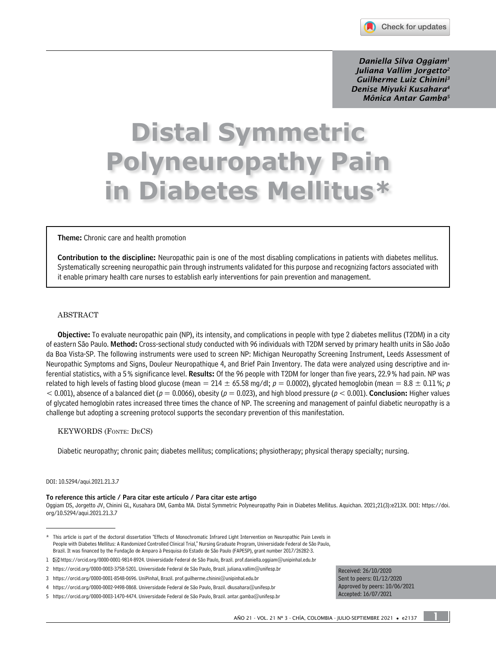

*Daniella Silva Oggiam1 Juliana Vallim Jorgetto2 Guilherme Luiz Chinini3 Denise Miyuki Kusahara4 Mônica Antar Gamba5*

# **Distal Symmetric Polyneuropathy Pain in Diabetes Mellitus\***

Theme: Chronic care and health promotion

Contribution to the discipline: Neuropathic pain is one of the most disabling complications in patients with diabetes mellitus. Systematically screening neuropathic pain through instruments validated for this purpose and recognizing factors associated with it enable primary health care nurses to establish early interventions for pain prevention and management.

### ABSTRACT

Objective: To evaluate neuropathic pain (NP), its intensity, and complications in people with type 2 diabetes mellitus (T2DM) in a city of eastern São Paulo. Method: Cross-sectional study conducted with 96 individuals with T2DM served by primary health units in São João da Boa Vista-SP. The following instruments were used to screen NP: Michigan Neuropathy Screening Instrument, Leeds Assessment of Neuropathic Symptoms and Signs, Douleur Neuropathique 4, and Brief Pain Inventory. The data were analyzed using descriptive and inferential statistics, with a 5% significance level. Results: Of the 96 people with T2DM for longer than five years, 22.9% had pain. NP was related to high levels of fasting blood glucose (mean = 214  $\pm$  65.58 mg/dl;  $p = 0.0002$ ), glycated hemoglobin (mean = 8.8  $\pm$  0.11%; p  $<$  0.001), absence of a balanced diet ( $p = 0.0066$ ), obesity ( $p = 0.023$ ), and high blood pressure ( $p < 0.001$ ). Conclusion: Higher values of glycated hemoglobin rates increased three times the chance of NP. The screening and management of painful diabetic neuropathy is a challenge but adopting a screening protocol supports the secondary prevention of this manifestation.

#### KEYWORDS (Fonte: DeCS)

Diabetic neuropathy; chronic pain; diabetes mellitus; complications; physiotherapy; physical therapy specialty; nursing.

#### DOI: [10.5294/aqui.2021.21.3.7](https://doi.org/10.5294/aqui.2021.21.3.7)

#### To reference this article / Para citar este artículo / Para citar este artigo

Oggiam DS, Jorgetto JV, Chinini GL, Kusahara DM, Gamba MA. Distal Symmetric Polyneuropathy Pain in Diabetes Mellitus. Aquichan. 2021;21(3):e213X. DOI: [https://doi.](https://doi.org/10.5294/aqui.2021.21.3.7) [org/10.5294/aqui.2021.21.3.7](https://doi.org/10.5294/aqui.2021.21.3.7)

Received: 26/10/2020 Sent to peers: 01/12/2020 Approved by peers: 10/06/2021 Accepted: 16/07/2021

1

<sup>\*</sup> This article is part of the doctoral dissertation "Effects of Monochromatic Infrared Light Intervention on Neuropathic Pain Levels in People with Diabetes Mellitus: A Randomized Controlled Clinical Trial," Nursing Graduate Program, Universidade Federal de São Paulo, Brazil. It was financed by the Fundação de Amparo à Pesquisa do Estado de São Paulo (FAPESP), grant number 2017/26282-3.

<sup>1</sup> [https://orcid.org/0000-0001-9814-8924.](https://orcid.org/0000-0001-9814-8924) Universidade Federal de São Paulo, Brazil. [prof.daniella.oggiam@unipinhal.edu.br](mailto:prof.daniella.oggiam@unipinhal.edu.br)

<sup>2</sup> <https://orcid.org/0000-0003-3758-5201>. Universidade Federal de São Paulo, Brazil. juliana.vallim@unifesp.br

<sup>3</sup> <https://orcid.org/0000-0001-8548-0696>. UniPinhal, Brazil. [prof.guilherme.chinini@unipinhal.edu.br](mailto:prof.guilherme.chinini@unipinhal.edu.br)

<sup>4</sup> <https://orcid.org/0000-0002-9498-0868>. Universidade Federal de São Paulo, Brazil. [dkusahara@unifesp.br](mailto:dkusahara@unifesp.br)

<sup>5</sup> <https://orcid.org/0000-0003-1470-4474>. Universidade Federal de São Paulo, Brazil. [antar.gamba@unifesp.br](mailto:antar.gamba@unifesp.br)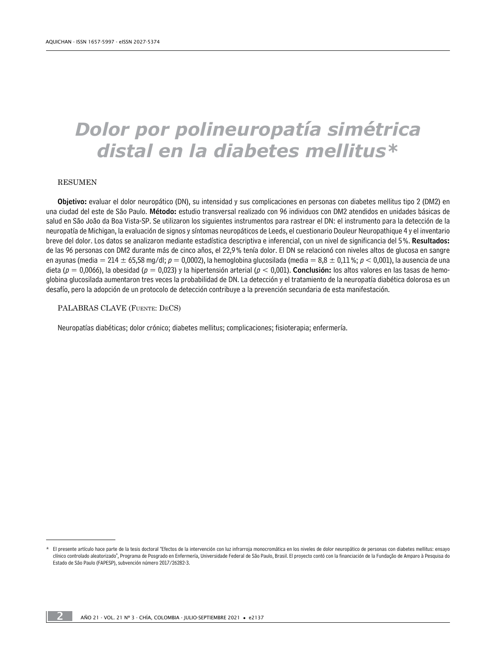## *Dolor por polineuropatía simétrica distal en la diabetes mellitus\**

#### RESUMEN

Objetivo: evaluar el dolor neuropático (DN), su intensidad y sus complicaciones en personas con diabetes mellitus tipo 2 (DM2) en una ciudad del este de São Paulo. Método: estudio transversal realizado con 96 individuos con DM2 atendidos en unidades básicas de salud en São João da Boa Vista-SP. Se utilizaron los siguientes instrumentos para rastrear el DN: el instrumento para la detección de la neuropatía de Michigan, la evaluación de signos y síntomas neuropáticos de Leeds, el cuestionario Douleur Neuropathique 4 y el inventario breve del dolor. Los datos se analizaron mediante estadística descriptiva e inferencial, con un nivel de significancia del 5%. Resultados: de las 96 personas con DM2 durante más de cinco años, el 22,9% tenía dolor. El DN se relacionó con niveles altos de glucosa en sangre en ayunas (media = 214  $\pm$  65,58 mg/dl;  $p = 0.0002$ ), la hemoglobina glucosilada (media = 8,8  $\pm$  0,11%;  $p < 0.001$ ), la ausencia de una dieta ( $p = 0.0066$ ), la obesidad ( $p = 0.023$ ) y la hipertensión arterial ( $p < 0.001$ ). **Conclusión:** los altos valores en las tasas de hemoglobina glucosilada aumentaron tres veces la probabilidad de DN. La detección y el tratamiento de la neuropatía diabética dolorosa es un desafío, pero la adopción de un protocolo de detección contribuye a la prevención secundaria de esta manifestación.

PALABRAS CLAVE (Fuente: DeCS)

Neuropatías diabéticas; dolor crónico; diabetes mellitus; complicaciones; fisioterapia; enfermería.

El presente artículo hace parte de la tesis doctoral "Efectos de la intervención con luz infrarroja monocromática en los niveles de dolor neuropático de personas con diabetes mellitus: ensayo clínico controlado aleatorizado", Programa de Posgrado en Enfermería, Universidade Federal de São Paulo, Brasil. El proyecto contó con la financiación de la Fundação de Amparo à Pesquisa do Estado de São Paulo (FAPESP), subvención número 2017/26282-3.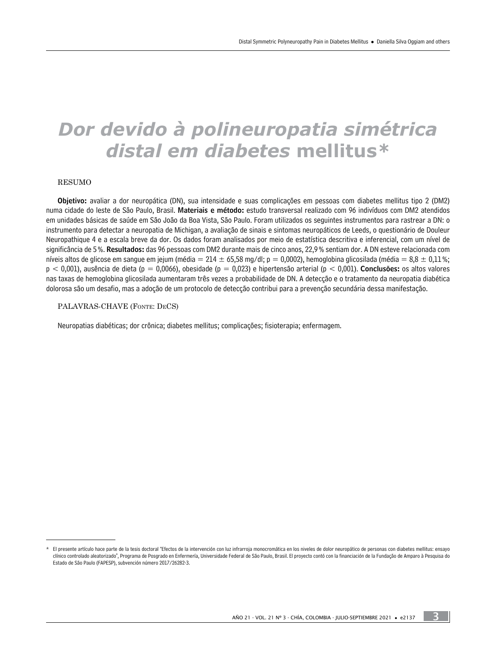## *Dor devido à polineuropatia simétrica distal em diabetes* **mellitus***\**

#### RESUMO

Objetivo: avaliar a dor neuropática (DN), sua intensidade e suas complicações em pessoas com diabetes mellitus tipo 2 (DM2) numa cidade do leste de São Paulo, Brasil. Materiais e método: estudo transversal realizado com 96 indivíduos com DM2 atendidos em unidades básicas de saúde em São João da Boa Vista, São Paulo. Foram utilizados os seguintes instrumentos para rastrear a DN: o instrumento para detectar a neuropatia de Michigan, a avaliação de sinais e sintomas neuropáticos de Leeds, o questionário de Douleur Neuropathique 4 e a escala breve da dor. Os dados foram analisados por meio de estatística descritiva e inferencial, com um nível de significância de 5%. Resultados: das 96 pessoas com DM2 durante mais de cinco anos, 22,9% sentiam dor. A DN esteve relacionada com níveis altos de glicose em sangue em jejum (média = 214  $\pm$  65,58 mg/dl; p = 0,0002), hemoglobina glicosilada (média = 8,8  $\pm$  0,11%;  $p < 0.001$ ), ausência de dieta (p = 0,0066), obesidade (p = 0,023) e hipertensão arterial (p < 0,001). Conclusões: os altos valores nas taxas de hemoglobina glicosilada aumentaram três vezes a probabilidade de DN. A detecção e o tratamento da neuropatia diabética dolorosa são um desafio, mas a adoção de um protocolo de detecção contribui para a prevenção secundária dessa manifestação.

#### PALAVRAS-CHAVE (Fonte: DeCS)

Neuropatias diabéticas; dor crônica; diabetes mellitus; complicações; fisioterapia; enfermagem.

3

El presente artículo hace parte de la tesis doctoral "Efectos de la intervención con luz infrarroja monocromática en los niveles de dolor neuropático de personas con diabetes mellitus: ensayo clínico controlado aleatorizado", Programa de Posgrado en Enfermería, Universidade Federal de São Paulo, Brasil. El proyecto contó con la financiación de la Fundação de Amparo à Pesquisa do Estado de São Paulo (FAPESP), subvención número 2017/26282-3.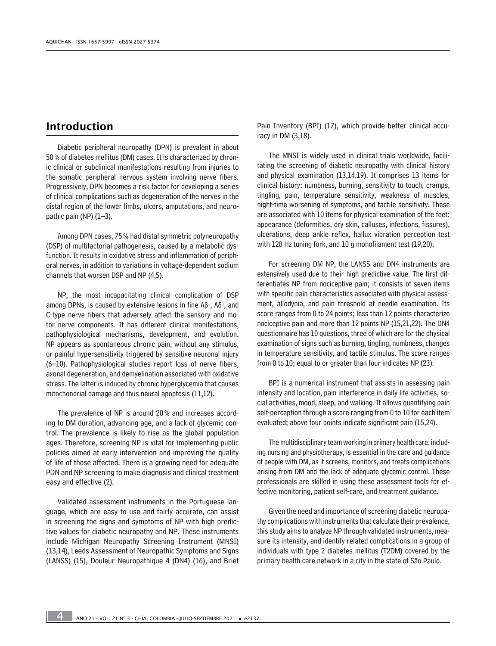## Introduction

Diabetic peripheral neuropathy (DPN) is prevalent in about 50% of diabetes mellitus (DM) cases. It is characterized by chronic clinical or subclinical manifestations resulting from injuries to the somatic peripheral nervous system involving nerve fibers. Progressively, DPN becomes a risk factor for developing a series of clinical complications such as degeneration of the nerves in the distal region of the lower limbs, ulcers, amputations, and neuropathic pain (NP) (1–3).

Among DPN cases, 75% had distal symmetric polyneuropathy (DSP) of multifactorial pathogenesis, caused by a metabolic dysfunction. It results in oxidative stress and inflammation of peripheral nerves, in addition to variations in voltage-dependent sodium channels that worsen DSP and NP (4,5).

NP, the most incapacitating clinical complication of DSP among DPNs, is caused by extensive lesions in fine Aβ-, Aδ-, and C-type nerve fibers that adversely affect the sensory and motor nerve components. It has different clinical manifestations, pathophysiological mechanisms, development, and evolution. NP appears as spontaneous chronic pain, without any stimulus, or painful hypersensitivity triggered by sensitive neuronal injury (6–10). Pathophysiological studies report loss of nerve fibers, axonal degeneration, and demyelination associated with oxidative stress. The latter is induced by chronic hyperglycemia that causes mitochondrial damage and thus neural apoptosis (11,12).

The prevalence of NP is around 20% and increases according to DM duration, advancing age, and a lack of glycemic control. The prevalence is likely to rise as the global population ages. Therefore, screening NP is vital for implementing public policies aimed at early intervention and improving the quality of life of those affected. There is a growing need for adequate PDN and NP screening to make diagnosis and clinical treatment easy and effective (2).

Validated assessment instruments in the Portuguese language, which are easy to use and fairly accurate, can assist in screening the signs and symptoms of NP with high predictive values for diabetic neuropathy and NP. These instruments include Michigan Neuropathy Screening Instrument (MNSI) (13,14), Leeds Assessment of Neuropathic Symptoms and Signs (LANSS) (15), Douleur Neuropathique 4 (DN4) (16), and Brief Pain Inventory (BPI) (17), which provide better clinical accuracy in DM (3,18).

The MNSI is widely used in clinical trials worldwide, facilitating the screening of diabetic neuropathy with clinical history and physical examination (13,14,19). It comprises 13 items for clinical history: numbness, burning, sensitivity to touch, cramps, tingling, pain, temperature sensitivity, weakness of muscles, night-time worsening of symptoms, and tactile sensitivity. These are associated with 10 items for physical examination of the feet: appearance (deformities, dry skin, calluses, infections, fissures), ulcerations, deep ankle reflex, hallux vibration perception test with 128 Hz tuning fork, and 10 g monofilament test (19,20).

For screening DM NP, the LANSS and DN4 instruments are extensively used due to their high predictive value. The first differentiates NP from nociceptive pain; it consists of seven items with specific pain characteristics associated with physical assessment, allodynia, and pain threshold at needle examination. Its score ranges from 0 to 24 points; less than 12 points characterize nociceptive pain and more than 12 points NP (15,21,22). The DN4 questionnaire has 10 questions, three of which are for the physical examination of signs such as burning, tingling, numbness, changes in temperature sensitivity, and tactile stimulus. The score ranges from 0 to 10; equal to or greater than four indicates NP (23).

BPI is a numerical instrument that assists in assessing pain intensity and location, pain interference in daily life activities, social activities, mood, sleep, and walking. It allows quantifying pain self-perception through a score ranging from 0 to 10 for each item evaluated; above four points indicate significant pain (15,24).

The multidisciplinary team working in primary health care, including nursing and physiotherapy, is essential in the care and guidance of people with DM, as it screens, monitors, and treats complications arising from DM and the lack of adequate glycemic control. These professionals are skilled in using these assessment tools for effective monitoring, patient self-care, and treatment guidance.

Given the need and importance of screening diabetic neuropathy complications with instruments that calculate their prevalence, this study aims to analyze NP through validated instruments, measure its intensity, and identify related complications in a group of individuals with type 2 diabetes mellitus (T2DM) covered by the primary health care network in a city in the state of São Paulo.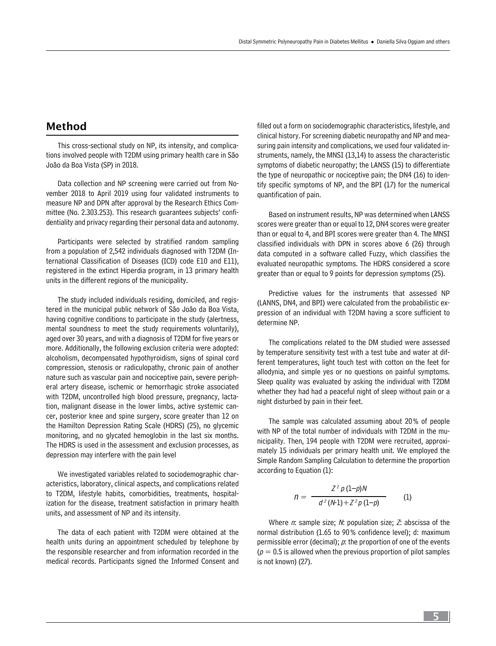## Method

This cross-sectional study on NP, its intensity, and complications involved people with T2DM using primary health care in São João da Boa Vista (SP) in 2018.

Data collection and NP screening were carried out from November 2018 to April 2019 using four validated instruments to measure NP and DPN after approval by the Research Ethics Committee (No. 2.303.253). This research guarantees subjects' confidentiality and privacy regarding their personal data and autonomy.

Participants were selected by stratified random sampling from a population of 2,542 individuals diagnosed with T2DM (International Classification of Diseases (ICD) code E10 and E11), registered in the extinct Hiperdia program, in 13 primary health units in the different regions of the municipality.

The study included individuals residing, domiciled, and registered in the municipal public network of São João da Boa Vista, having cognitive conditions to participate in the study (alertness, mental soundness to meet the study requirements voluntarily), aged over 30 years, and with a diagnosis of T2DM for five years or more. Additionally, the following exclusion criteria were adopted: alcoholism, decompensated hypothyroidism, signs of spinal cord compression, stenosis or radiculopathy, chronic pain of another nature such as vascular pain and nociceptive pain, severe peripheral artery disease, ischemic or hemorrhagic stroke associated with T2DM, uncontrolled high blood pressure, pregnancy, lactation, malignant disease in the lower limbs, active systemic cancer, posterior knee and spine surgery, score greater than 12 on the Hamilton Depression Rating Scale (HDRS) (25), no glycemic monitoring, and no glycated hemoglobin in the last six months. The HDRS is used in the assessment and exclusion processes, as depression may interfere with the pain level

We investigated variables related to sociodemographic characteristics, laboratory, clinical aspects, and complications related to T2DM, lifestyle habits, comorbidities, treatments, hospitalization for the disease, treatment satisfaction in primary health units, and assessment of NP and its intensity.

The data of each patient with T2DM were obtained at the health units during an appointment scheduled by telephone by the responsible researcher and from information recorded in the medical records. Participants signed the Informed Consent and filled out a form on sociodemographic characteristics, lifestyle, and clinical history. For screening diabetic neuropathy and NP and measuring pain intensity and complications, we used four validated instruments, namely, the MNSI (13,14) to assess the characteristic symptoms of diabetic neuropathy; the LANSS (15) to differentiate the type of neuropathic or nociceptive pain; the DN4 (16) to identify specific symptoms of NP, and the BPI (17) for the numerical quantification of pain.

Based on instrument results, NP was determined when LANSS scores were greater than or equal to 12, DN4 scores were greater than or equal to 4, and BPI scores were greater than 4. The MNSI classified individuals with DPN in scores above 6 (26) through data computed in a software called Fuzzy, which classifies the evaluated neuropathic symptoms. The HDRS considered a score greater than or equal to 9 points for depression symptoms (25).

Predictive values for the instruments that assessed NP (LANNS, DN4, and BPI) were calculated from the probabilistic expression of an individual with T2DM having a score sufficient to determine NP.

The complications related to the DM studied were assessed by temperature sensitivity test with a test tube and water at different temperatures, light touch test with cotton on the feet for allodynia, and simple yes or no questions on painful symptoms. Sleep quality was evaluated by asking the individual with T2DM whether they had had a peaceful night of sleep without pain or a night disturbed by pain in their feet.

The sample was calculated assuming about 20% of people with NP of the total number of individuals with T2DM in the municipality. Then, 194 people with T2DM were recruited, approximately 15 individuals per primary health unit. We employed the Simple Random Sampling Calculation to determine the proportion according to Equation (1):

$$
n = \frac{Z^2 p (1-p)N}{d^2 (N-1) + Z^2 p (1-p)} \tag{1}
$$

Where  $n$ : sample size;  $N$ : population size;  $Z$ : abscissa of the normal distribution (1.65 to 90% confidence level); d: maximum permissible error (decimal);  $p$ : the proportion of one of the events  $(p = 0.5$  is allowed when the previous proportion of pilot samples is not known) (27).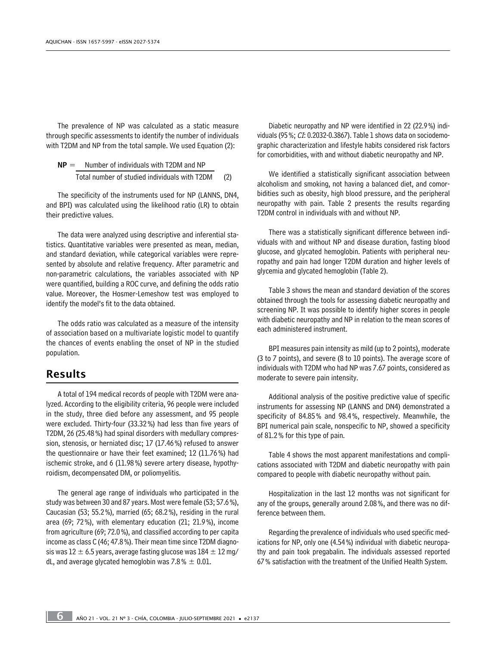The prevalence of NP was calculated as a static measure through specific assessments to identify the number of individuals with T2DM and NP from the total sample. We used Equation (2):

$$
NP = \frac{Number of individuals with T2DM and NP}{Total number of studied individuals with T2DM}
$$
 (2)

The specificity of the instruments used for NP (LANNS, DN4, and BPI) was calculated using the likelihood ratio (LR) to obtain their predictive values.

The data were analyzed using descriptive and inferential statistics. Quantitative variables were presented as mean, median, and standard deviation, while categorical variables were represented by absolute and relative frequency. After parametric and non-parametric calculations, the variables associated with NP were quantified, building a ROC curve, and defining the odds ratio value. Moreover, the Hosmer-Lemeshow test was employed to identify the model's fit to the data obtained.

The odds ratio was calculated as a measure of the intensity of association based on a multivariate logistic model to quantify the chances of events enabling the onset of NP in the studied population.

## Results

A total of 194 medical records of people with T2DM were analyzed. According to the eligibility criteria, 96 people were included in the study, three died before any assessment, and 95 people were excluded. Thirty-four (33.32%) had less than five years of T2DM, 26 (25.48%) had spinal disorders with medullary compression, stenosis, or herniated disc; 17 (17.46%) refused to answer the questionnaire or have their feet examined; 12 (11.76%) had ischemic stroke, and 6 (11.98%) severe artery disease, hypothyroidism, decompensated DM, or poliomyelitis.

The general age range of individuals who participated in the study was between 30 and 87 years. Most were female (53; 57.6%), Caucasian (53; 55.2%), married (65; 68.2%), residing in the rural area (69; 72%), with elementary education (21; 21.9%), income from agriculture (69; 72.0%), and classified according to per capita income as class C (46; 47.8%). Their mean time since T2DM diagnosis was  $12 \pm 6.5$  years, average fasting glucose was  $184 \pm 12$  mg/ dL, and average glycated hemoglobin was 7.8 %  $\pm$  0.01.

Diabetic neuropathy and NP were identified in 22 (22.9%) individuals (95%;  $CI: 0.2032 - 0.3867$ ). Table 1 shows data on sociodemographic characterization and lifestyle habits considered risk factors for comorbidities, with and without diabetic neuropathy and NP.

We identified a statistically significant association between alcoholism and smoking, not having a balanced diet, and comorbidities such as obesity, high blood pressure, and the peripheral neuropathy with pain. Table 2 presents the results regarding T2DM control in individuals with and without NP.

There was a statistically significant difference between individuals with and without NP and disease duration, fasting blood glucose, and glycated hemoglobin. Patients with peripheral neuropathy and pain had longer T2DM duration and higher levels of glycemia and glycated hemoglobin (Table 2).

Table 3 shows the mean and standard deviation of the scores obtained through the tools for assessing diabetic neuropathy and screening NP. It was possible to identify higher scores in people with diabetic neuropathy and NP in relation to the mean scores of each administered instrument.

BPI measures pain intensity as mild (up to 2 points), moderate (3 to 7 points), and severe (8 to 10 points). The average score of individuals with T2DM who had NP was 7.67 points, considered as moderate to severe pain intensity.

Additional analysis of the positive predictive value of specific instruments for assessing NP (LANNS and DN4) demonstrated a specificity of 84.85% and 98.4%, respectively. Meanwhile, the BPI numerical pain scale, nonspecific to NP, showed a specificity of 81.2% for this type of pain.

Table 4 shows the most apparent manifestations and complications associated with T2DM and diabetic neuropathy with pain compared to people with diabetic neuropathy without pain.

Hospitalization in the last 12 months was not significant for any of the groups, generally around 2.08%, and there was no difference between them.

Regarding the prevalence of individuals who used specific medications for NP, only one (4.54%) individual with diabetic neuropathy and pain took pregabalin. The individuals assessed reported 67% satisfaction with the treatment of the Unified Health System.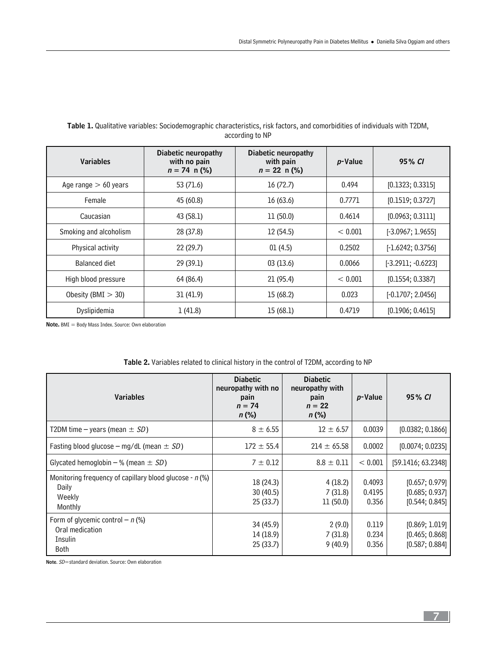| <b>Variables</b>       | Diabetic neuropathy<br>with no pain<br>$n = 74 \, \text{m}$ (%) | Diabetic neuropathy<br>with pain<br>$n = 22 \text{ n}$ (%) | p-Value | 95% CI               |
|------------------------|-----------------------------------------------------------------|------------------------------------------------------------|---------|----------------------|
| Age range $> 60$ years | 53 (71.6)                                                       | 16(72.7)                                                   | 0.494   | [0.1323; 0.3315]     |
| Female                 | 45 (60.8)                                                       | 16(63.6)                                                   | 0.7771  | [0.1519; 0.3727]     |
| Caucasian              | 43 (58.1)                                                       | 11 (50.0)                                                  | 0.4614  | [0.0963; 0.3111]     |
| Smoking and alcoholism | 28 (37.8)                                                       | 12 (54.5)                                                  | < 0.001 | $[-3.0967; 1.9655]$  |
| Physical activity      | 22(29.7)                                                        | 01(4.5)                                                    | 0.2502  | $[-1.6242; 0.3756]$  |
| Balanced diet          | 29 (39.1)                                                       | 03(13.6)                                                   | 0.0066  | $[-3.2911; -0.6223]$ |
| High blood pressure    | 64 (86.4)                                                       | 21 (95.4)                                                  | < 0.001 | [0.1554; 0.3387]     |
| Obesity (BMI $>$ 30)   | 31(41.9)                                                        | 15 (68.2)                                                  | 0.023   | $[-0.1707; 2.0456]$  |
| Dyslipidemia           | 1(41.8)                                                         | 15 (68.1)                                                  | 0.4719  | [0.1906; 0.4615]     |

## Table 1. Qualitative variables: Sociodemographic characteristics, risk factors, and comorbidities of individuals with T2DM, according to NP

Note. BMI = Body Mass Index. Source: Own elaboration

| <b>Variables</b>                                                                        | <b>Diabetic</b><br>neuropathy with no<br>pain<br>$n = 74$<br>$n$ (%) | <b>Diabetic</b><br>neuropathy with<br>pain<br>$n = 22$<br>$n$ (%) | p-Value                   | 95% CI                                             |
|-----------------------------------------------------------------------------------------|----------------------------------------------------------------------|-------------------------------------------------------------------|---------------------------|----------------------------------------------------|
| T2DM time – years (mean $\pm$ SD)                                                       | $8 \pm 6.55$                                                         | $12 \pm 6.57$                                                     | 0.0039                    | [0.0382; 0.1866]                                   |
| Fasting blood glucose – mg/dL (mean $\pm$ SD)                                           | $172 \pm 55.4$                                                       | $214 \pm 65.58$                                                   | 0.0002                    | [0.0074; 0.0235]                                   |
| Glycated hemoglobin – % (mean $\pm$ SD)                                                 | $7 \pm 0.12$                                                         | $8.8 \pm 0.11$                                                    | < 0.001                   | [59.1416; 63.2348]                                 |
| Monitoring frequency of capillary blood glucose - $n$ (%)<br>Daily<br>Weekly<br>Monthly | 18 (24.3)<br>30(40.5)<br>25(33.7)                                    | 4(18.2)<br>7(31.8)<br>11(50.0)                                    | 0.4093<br>0.4195<br>0.356 | [0.657; 0.979]<br>[0.685; 0.937]<br>[0.544; 0.845] |
| Form of glycemic control $- n$ (%)<br>Oral medication<br>Insulin<br><b>Both</b>         | 34 (45.9)<br>14 (18.9)<br>25(33.7)                                   | 2(9.0)<br>7(31.8)<br>9(40.9)                                      | 0.119<br>0.234<br>0.356   | [0.869; 1.019]<br>[0.465; 0.868]<br>[0.587; 0.884] |

## Table 2. Variables related to clinical history in the control of T2DM, according to NP

Note. SD=standard deviation. Source: Own elaboration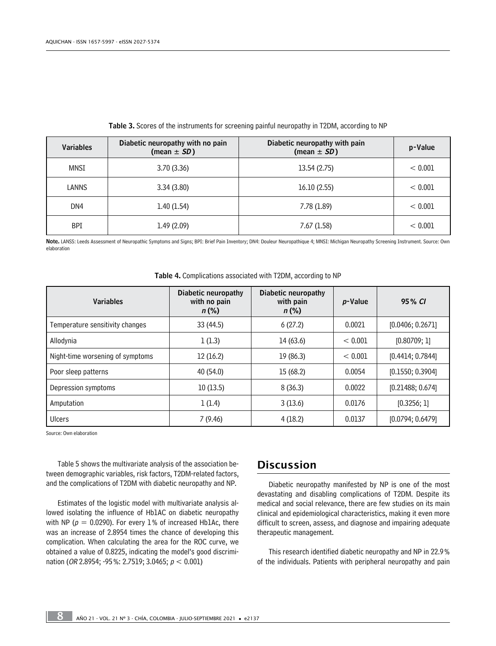| <b>Variables</b> | Diabetic neuropathy with no pain<br>(mean $\pm$ SD) | Diabetic neuropathy with pain<br>(mean $\pm$ SD) | p-Value |
|------------------|-----------------------------------------------------|--------------------------------------------------|---------|
| MNSI             | 3.70(3.36)                                          | 13.54 (2.75)                                     | < 0.001 |
| LANNS            | 3.34(3.80)                                          | 16.10(2.55)                                      | < 0.001 |
| DN4              | 1.40(1.54)                                          | 7.78 (1.89)                                      | < 0.001 |
| <b>BPI</b>       | 1.49(2.09)                                          | 7.67(1.58)                                       | < 0.001 |

Table 3. Scores of the instruments for screening painful neuropathy in T2DM, according to NP

Note. LANSS: Leeds Assessment of Neuropathic Symptoms and Signs; BPI: Brief Pain Inventory; DN4: Douleur Neuropathique 4; MNSI: Michigan Neuropathy Screening Instrument. Source: Own elaboration

| <b>Variables</b>                 | Diabetic neuropathy<br>with no pain<br>$n$ (%) | <b>Diabetic neuropathy</b><br>with pain<br>$n (\%)$ |         | 95% CI           |
|----------------------------------|------------------------------------------------|-----------------------------------------------------|---------|------------------|
| Temperature sensitivity changes  | 33 (44.5)                                      | 6(27.2)                                             | 0.0021  | [0.0406; 0.2671] |
| Allodynia                        | 1(1.3)                                         | 14 (63.6)                                           | < 0.001 | [0.80709; 1]     |
| Night-time worsening of symptoms | 12(16.2)                                       | 19 (86.3)                                           | < 0.001 | [0.4414; 0.7844] |
| Poor sleep patterns              | 40 (54.0)                                      | 15(68.2)                                            | 0.0054  | [0.1550; 0.3904] |
| Depression symptoms              | 10(13.5)                                       | 8(36.3)                                             | 0.0022  | [0.21488; 0.674] |
| 1(1.4)<br>Amputation             |                                                | 3(13.6)                                             | 0.0176  | [0.3256; 1]      |
| Ulcers                           | 7(9.46)                                        | 4(18.2)                                             | 0.0137  | [0.0794; 0.6479] |

Table 4. Complications associated with T2DM, according to NP

Source: Own elaboration

Table 5 shows the multivariate analysis of the association between demographic variables, risk factors, T2DM-related factors, and the complications of T2DM with diabetic neuropathy and NP.

Estimates of the logistic model with multivariate analysis allowed isolating the influence of Hb1AC on diabetic neuropathy with NP ( $p = 0.0290$ ). For every 1% of increased Hb1Ac, there was an increase of 2.8954 times the chance of developing this complication. When calculating the area for the ROC curve, we obtained a value of 0.8225, indicating the model's good discrimination (OR 2.8954; -95%: 2.7519; 3.0465;  $p < 0.001$ )

## Discussion

Diabetic neuropathy manifested by NP is one of the most devastating and disabling complications of T2DM. Despite its medical and social relevance, there are few studies on its main clinical and epidemiological characteristics, making it even more difficult to screen, assess, and diagnose and impairing adequate therapeutic management.

This research identified diabetic neuropathy and NP in 22.9% of the individuals. Patients with peripheral neuropathy and pain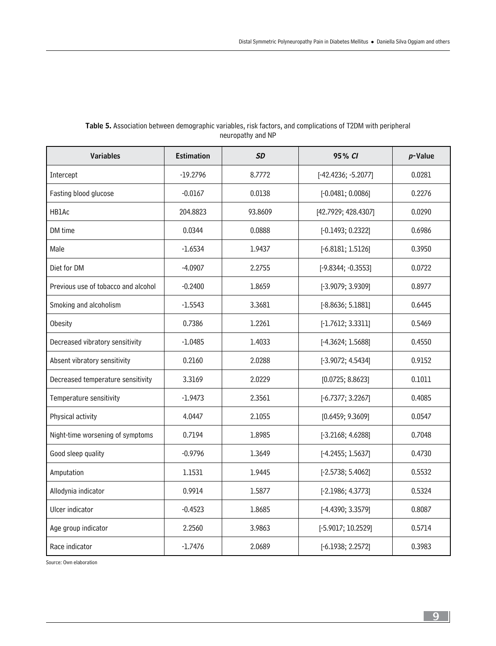| <b>Variables</b>                    | <b>Estimation</b> | <b>SD</b> | 95% CI              | $p$ -Value |
|-------------------------------------|-------------------|-----------|---------------------|------------|
| Intercept                           | $-19.2796$        | 8.7772    | [-42.4236; -5.2077] | 0.0281     |
| Fasting blood glucose               | $-0.0167$         | 0.0138    | [-0.0481; 0.0086]   | 0.2276     |
| HB1Ac                               | 204.8823          | 93.8609   | [42.7929; 428.4307] | 0.0290     |
| DM time                             | 0.0344            | 0.0888    | [-0.1493; 0.2322]   | 0.6986     |
| Male                                | $-1.6534$         | 1.9437    | $[-6.8181; 1.5126]$ | 0.3950     |
| Diet for DM                         | $-4.0907$         | 2.2755    | [-9.8344; -0.3553]  | 0.0722     |
| Previous use of tobacco and alcohol | $-0.2400$         | 1.8659    | [-3.9079; 3.9309]   | 0.8977     |
| Smoking and alcoholism              | $-1.5543$         | 3.3681    | $[-8.8636; 5.1881]$ | 0.6445     |
| Obesity                             | 0.7386            | 1.2261    | $[-1.7612; 3.3311]$ | 0.5469     |
| Decreased vibratory sensitivity     | $-1.0485$         | 1.4033    | $[-4.3624; 1.5688]$ | 0.4550     |
| Absent vibratory sensitivity        | 0.2160            | 2.0288    | [-3.9072; 4.5434]   | 0.9152     |
| Decreased temperature sensitivity   | 3.3169            | 2.0229    | [0.0725; 8.8623]    | 0.1011     |
| Temperature sensitivity             | $-1.9473$         | 2.3561    | $[-6.7377; 3.2267]$ | 0.4085     |
| Physical activity                   | 4.0447            | 2.1055    | [0.6459; 9.3609]    | 0.0547     |
| Night-time worsening of symptoms    | 0.7194            | 1.8985    | $[-3.2168; 4.6288]$ | 0.7048     |
| Good sleep quality                  | $-0.9796$         | 1.3649    | [-4.2455; 1.5637]   | 0.4730     |
| Amputation                          | 1.1531            | 1.9445    | [-2.5738; 5.4062]   | 0.5532     |
| Allodynia indicator                 | 0.9914            | 1.5877    | [-2.1986; 4.3773]   | 0.5324     |
| Ulcer indicator                     | $-0.4523$         | 1.8685    | [-4.4390; 3.3579]   | 0.8087     |
| Age group indicator                 | 2.2560            | 3.9863    | [-5.9017; 10.2529]  | 0.5714     |
| Race indicator                      | $-1.7476$         | 2.0689    | [-6.1938; 2.2572]   | 0.3983     |

## Table 5. Association between demographic variables, risk factors, and complications of T2DM with peripheral neuropathy and NP

Source: Own elaboration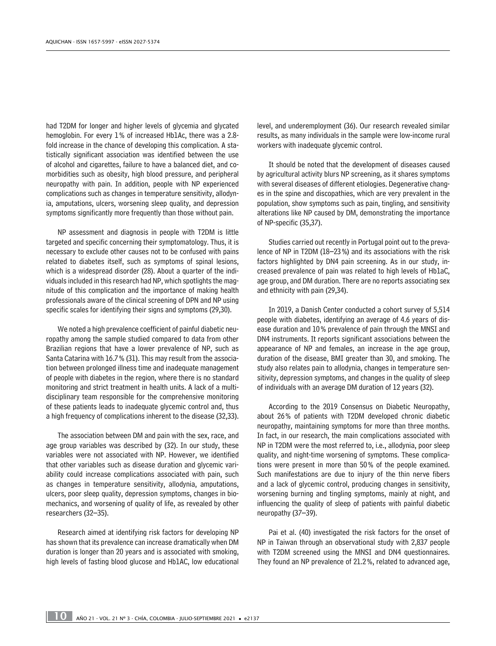had T2DM for longer and higher levels of glycemia and glycated hemoglobin. For every 1% of increased Hb1Ac, there was a 2.8 fold increase in the chance of developing this complication. A statistically significant association was identified between the use of alcohol and cigarettes, failure to have a balanced diet, and comorbidities such as obesity, high blood pressure, and peripheral neuropathy with pain. In addition, people with NP experienced complications such as changes in temperature sensitivity, allodynia, amputations, ulcers, worsening sleep quality, and depression symptoms significantly more frequently than those without pain.

NP assessment and diagnosis in people with T2DM is little targeted and specific concerning their symptomatology. Thus, it is necessary to exclude other causes not to be confused with pains related to diabetes itself, such as symptoms of spinal lesions, which is a widespread disorder (28). About a quarter of the individuals included in this research had NP, which spotlights the magnitude of this complication and the importance of making health professionals aware of the clinical screening of DPN and NP using specific scales for identifying their signs and symptoms (29,30).

We noted a high prevalence coefficient of painful diabetic neuropathy among the sample studied compared to data from other Brazilian regions that have a lower prevalence of NP, such as Santa Catarina with 16.7% (31). This may result from the association between prolonged illness time and inadequate management of people with diabetes in the region, where there is no standard monitoring and strict treatment in health units. A lack of a multidisciplinary team responsible for the comprehensive monitoring of these patients leads to inadequate glycemic control and, thus a high frequency of complications inherent to the disease (32,33).

The association between DM and pain with the sex, race, and age group variables was described by (32). In our study, these variables were not associated with NP. However, we identified that other variables such as disease duration and glycemic variability could increase complications associated with pain, such as changes in temperature sensitivity, allodynia, amputations, ulcers, poor sleep quality, depression symptoms, changes in biomechanics, and worsening of quality of life, as revealed by other researchers (32–35).

Research aimed at identifying risk factors for developing NP has shown that its prevalence can increase dramatically when DM duration is longer than 20 years and is associated with smoking, high levels of fasting blood glucose and Hb1AC, low educational level, and underemployment (36). Our research revealed similar results, as many individuals in the sample were low-income rural workers with inadequate glycemic control.

It should be noted that the development of diseases caused by agricultural activity blurs NP screening, as it shares symptoms with several diseases of different etiologies. Degenerative changes in the spine and discopathies, which are very prevalent in the population, show symptoms such as pain, tingling, and sensitivity alterations like NP caused by DM, demonstrating the importance of NP-specific (35,37).

Studies carried out recently in Portugal point out to the prevalence of NP in T2DM (18–23%) and its associations with the risk factors highlighted by DN4 pain screening. As in our study, increased prevalence of pain was related to high levels of Hb1aC, age group, and DM duration. There are no reports associating sex and ethnicity with pain (29,34).

In 2019, a Danish Center conducted a cohort survey of 5,514 people with diabetes, identifying an average of 4.6 years of disease duration and 10% prevalence of pain through the MNSI and DN4 instruments. It reports significant associations between the appearance of NP and females, an increase in the age group, duration of the disease, BMI greater than 30, and smoking. The study also relates pain to allodynia, changes in temperature sensitivity, depression symptoms, and changes in the quality of sleep of individuals with an average DM duration of 12 years (32).

According to the 2019 Consensus on Diabetic Neuropathy, about 26% of patients with T2DM developed chronic diabetic neuropathy, maintaining symptoms for more than three months. In fact, in our research, the main complications associated with NP in T2DM were the most referred to, i.e., allodynia, poor sleep quality, and night-time worsening of symptoms. These complications were present in more than 50% of the people examined. Such manifestations are due to injury of the thin nerve fibers and a lack of glycemic control, producing changes in sensitivity, worsening burning and tingling symptoms, mainly at night, and influencing the quality of sleep of patients with painful diabetic neuropathy (37–39).

Pai et al. (40) investigated the risk factors for the onset of NP in Taiwan through an observational study with 2,837 people with T2DM screened using the MNSI and DN4 questionnaires. They found an NP prevalence of 21.2%, related to advanced age,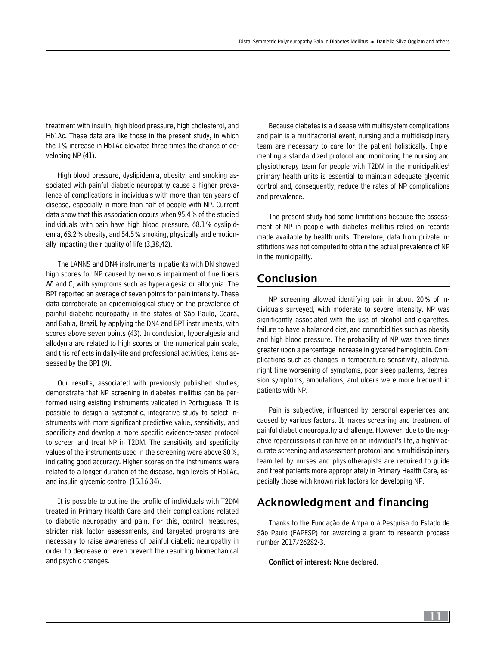treatment with insulin, high blood pressure, high cholesterol, and Hb1Ac. These data are like those in the present study, in which the 1% increase in Hb1Ac elevated three times the chance of developing NP (41).

High blood pressure, dyslipidemia, obesity, and smoking associated with painful diabetic neuropathy cause a higher prevalence of complications in individuals with more than ten years of disease, especially in more than half of people with NP. Current data show that this association occurs when 95.4% of the studied individuals with pain have high blood pressure, 68.1% dyslipidemia, 68.2% obesity, and 54.5% smoking, physically and emotionally impacting their quality of life (3,38,42).

The LANNS and DN4 instruments in patients with DN showed high scores for NP caused by nervous impairment of fine fibers Aδ and C, with symptoms such as hyperalgesia or allodynia. The BPI reported an average of seven points for pain intensity. These data corroborate an epidemiological study on the prevalence of painful diabetic neuropathy in the states of São Paulo, Ceará, and Bahia, Brazil, by applying the DN4 and BPI instruments, with scores above seven points (43). In conclusion, hyperalgesia and allodynia are related to high scores on the numerical pain scale, and this reflects in daily-life and professional activities, items assessed by the BPI (9).

Our results, associated with previously published studies, demonstrate that NP screening in diabetes mellitus can be performed using existing instruments validated in Portuguese. It is possible to design a systematic, integrative study to select instruments with more significant predictive value, sensitivity, and specificity and develop a more specific evidence-based protocol to screen and treat NP in T2DM. The sensitivity and specificity values of the instruments used in the screening were above 80%, indicating good accuracy. Higher scores on the instruments were related to a longer duration of the disease, high levels of Hb1Ac, and insulin glycemic control (15,16,34).

It is possible to outline the profile of individuals with T2DM treated in Primary Health Care and their complications related to diabetic neuropathy and pain. For this, control measures, stricter risk factor assessments, and targeted programs are necessary to raise awareness of painful diabetic neuropathy in order to decrease or even prevent the resulting biomechanical and psychic changes.

Because diabetes is a disease with multisystem complications and pain is a multifactorial event, nursing and a multidisciplinary team are necessary to care for the patient holistically. Implementing a standardized protocol and monitoring the nursing and physiotherapy team for people with T2DM in the municipalities' primary health units is essential to maintain adequate glycemic control and, consequently, reduce the rates of NP complications and prevalence.

The present study had some limitations because the assessment of NP in people with diabetes mellitus relied on records made available by health units. Therefore, data from private institutions was not computed to obtain the actual prevalence of NP in the municipality.

## Conclusion

NP screening allowed identifying pain in about 20% of individuals surveyed, with moderate to severe intensity. NP was significantly associated with the use of alcohol and cigarettes, failure to have a balanced diet, and comorbidities such as obesity and high blood pressure. The probability of NP was three times greater upon a percentage increase in glycated hemoglobin. Complications such as changes in temperature sensitivity, allodynia, night-time worsening of symptoms, poor sleep patterns, depression symptoms, amputations, and ulcers were more frequent in patients with NP.

Pain is subjective, influenced by personal experiences and caused by various factors. It makes screening and treatment of painful diabetic neuropathy a challenge. However, due to the negative repercussions it can have on an individual's life, a highly accurate screening and assessment protocol and a multidisciplinary team led by nurses and physiotherapists are required to guide and treat patients more appropriately in Primary Health Care, especially those with known risk factors for developing NP.

## Acknowledgment and financing

Thanks to the Fundação de Amparo à Pesquisa do Estado de São Paulo (FAPESP) for awarding a grant to research process number 2017/26282-3.

Conflict of interest: None declared.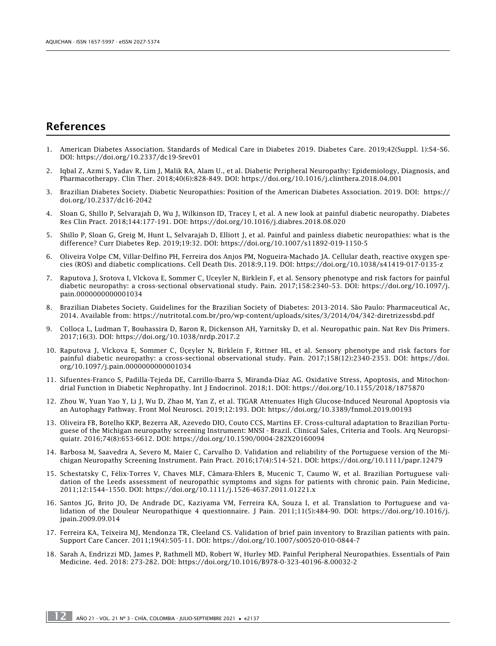## References

- 1. American Diabetes Association. Standards of Medical Care in Diabetes 2019. Diabetes Care. 2019;42(Suppl. 1):S4–S6. DOI:<https://doi.org/10.2337/dc19-Srev01>
- 2. Iqbal Z, Azmi S, Yadav R, Lim J, Malik RA, Alam U., et al. Diabetic Peripheral Neuropathy: Epidemiology, Diagnosis, and Pharmacotherapy. Clin Ther. 2018;40(6):828-849. DOI: <https://doi.org/10.1016/j.clinthera.2018.04.001>
- 3. Brazilian Diabetes Society. Diabetic Neuropathies: Position of the American Diabetes Association. 2019. DOI: [https://](https://doi.org/10.2337/dc16-2042) [doi.org/10.2337/dc16-2042](https://doi.org/10.2337/dc16-2042)
- 4. Sloan G, Shillo P, Selvarajah D, Wu J, Wilkinson ID, Tracey I, et al. A new look at painful diabetic neuropathy. Diabetes Res Clin Pract. 2018;144:177-191. DOI: <https://doi.org/10.1016/j.diabres.2018.08.020>
- 5. Shillo P, Sloan G, Greig M, Hunt L, Selvarajah D, Elliott J, et al. Painful and painless diabetic neuropathies: what is the difference? Curr Diabetes Rep. 2019;19:32. DOI:<https://doi.org/10.1007/s11892-019-1150-5>
- 6. Oliveira Volpe CM, Villar-Delfino PH, Ferreira dos Anjos PM, Nogueira-Machado JA. Cellular death, reactive oxygen species (ROS) and diabetic complications. Cell Death Dis. 2018:9,119. DOI:<https://doi.org/10.1038/s41419-017-0135-z>
- 7. Raputova J, Srotova I, Vlckova E, Sommer C, Uceyler N, Birklein F, et al. Sensory phenotype and risk factors for painful diabetic neuropathy: a cross-sectional observational study. Pain. 2017;158:2340–53. DOI: [https://doi.org/10.1097/j.](https://doi.org/10.1097/j.pain.0000000000001034) [pain.0000000000001034](https://doi.org/10.1097/j.pain.0000000000001034)
- 8. Brazilian Diabetes Society. Guidelines for the Brazilian Society of Diabetes: 2013-2014. São Paulo: Pharmaceutical Ac, 2014. Available from: <https://nutritotal.com.br/pro/wp-content/uploads/sites/3/2014/04/342-diretrizessbd.pdf>
- 9. Colloca L, Ludman T, Bouhassira D, Baron R, Dickenson AH, Yarnitsky D, et al. Neuropathic pain. Nat Rev Dis Primers. 2017;16(3). DOI:<https://doi.org/10.1038/nrdp.2017.2>
- 10. Raputova J, Vlckova E, Sommer C, Üçeyler N, Birklein F, Rittner HL, et al. Sensory phenotype and risk factors for painful diabetic neuropathy: a cross-sectional observational study. Pain. 2017;158(12):2340-2353. DOI: [https://doi.](https://doi.org/10.1097/j.pain.0000000000001034) [org/10.1097/j.pain.0000000000001034](https://doi.org/10.1097/j.pain.0000000000001034)
- 11. Sifuentes-Franco S, Padilla-Tejeda DE, Carrillo-Ibarra S, Miranda-Díaz AG. Oxidative Stress, Apoptosis, and Mitochondrial Function in Diabetic Nephropathy. Int J Endocrinol. 2018;1. DOI:<https://doi.org/10.1155/2018/1875870>
- 12. Zhou W, Yuan Yao Y, Li J, Wu D, Zhao M, Yan Z, et al. TIGAR Attenuates High Glucose-Induced Neuronal Apoptosis via an Autophagy Pathway. Front Mol Neurosci. 2019;12:193. DOI:<https://doi.org/10.3389/fnmol.2019.00193>
- 13. Oliveira FB, Botelho KKP, Bezerra AR, Azevedo DIO, Couto CCS, Martins EF. Cross-cultural adaptation to Brazilian Portuguese of the Michigan neuropathy screening Instrument: MNSI - Brazil. Clinical Sales, Criteria and Tools. Arq Neuropsiquiatr. 2016;74(8):653-6612. DOI: <https://doi.org/10.1590/0004-282X20160094>
- 14. Barbosa M, Saavedra A, Severo M, Maier C, Carvalho D. Validation and reliability of the Portuguese version of the Michigan Neuropathy Screening Instrument. Pain Pract. 2016;17(4):514-521. DOI: <https://doi.org/10.1111/papr.12479>
- 15. Schestatsky C, Félix-Torres V, Chaves MLF, Câmara-Ehlers B, Mucenic T, Caumo W, et al. Brazilian Portuguese validation of the Leeds assessment of neuropathic symptoms and signs for patients with chronic pain. Pain Medicine, 2011;12:1544–1550. DOI: <https://doi.org/10.1111/j.1526-4637.2011.01221.x>
- 16. Santos JG, Brito JO, De Andrade DC, Kaziyama VM, Ferreira KA, Souza I, et al. Translation to Portuguese and validation of the Douleur Neuropathique 4 questionnaire. J Pain. 2011;11(5):484-90. DOI: [https://doi.org/10.1016/j.](https://doi.org/10.1016/j.jpain.2009.09.014) [jpain.2009.09.014](https://doi.org/10.1016/j.jpain.2009.09.014)
- 17. Ferreira KA, Teixeira MJ, Mendonza TR, Cleeland CS. Validation of brief pain inventory to Brazilian patients with pain. Support Care Cancer. 2011;19(4):505-11. DOI: <https://doi.org/10.1007/s00520-010-0844-7>
- 18. Sarah A, Endrizzi MD, James P, Rathmell MD, Robert W, Hurley MD. Painful Peripheral Neuropathies. Essentials of Pain Medicine. 4ed. 2018: 273-282. DOI: <https://doi.org/10.1016/B978-0-323-40196-8.00032-2>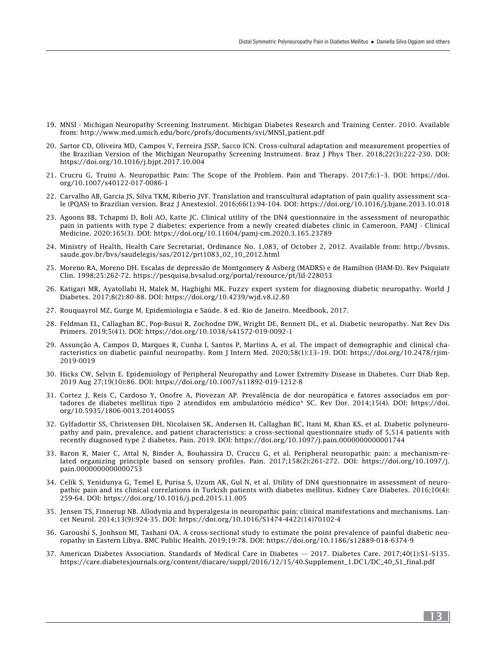- 19. MNSI Michigan Neuropathy Screening Instrument. Michigan Diabetes Research and Training Center. 2010. Available from: [http://www.med.umich.edu/borc/profs/documents/svi/MNSI\\_patient.pdf](http://www.med.umich.edu/borc/profs/documents/svi/MNSI_patient.pdf)
- 20. Sartor CD, Oliveira MD, Campos V, Ferreira JSSP, Sacco ICN. Cross-cultural adaptation and measurement properties of the Brazilian Version of the Michigan Neuropathy Screening Instrument. Braz J Phys Ther. 2018;22(3):222-230. DOI: <https://doi.org/10.1016/j.bjpt.2017.10.004>
- 21. Crucru G, Truini A. Neuropathic Pain: The Scope of the Problem. Pain and Therapy. 2017;6:1–3. DOI: [https://doi.](https://doi.org/10.1007/s40122-017-0086-1) [org/10.1007/s40122-017-0086-1](https://doi.org/10.1007/s40122-017-0086-1)
- 22. Carvalho AB, Garcia JS, Silva TKM, Riberio JVF. Translation and transcultural adaptation of pain quality assessment scale (PQAS) to Brazilian version. Braz J Anestesiol. 2016;66(1):94-104. DOI:<https://doi.org/10.1016/j.bjane.2013.10.018>
- 23. Agoons BB, Tchapmi D, Boli AO, Katte JC. Clinical utility of the DN4 questionnaire in the assessment of neuropathic pain in patients with type 2 diabetes: experience from a newly created diabetes clinic in Cameroon. PAMJ - Clinical Medicine. 2020:165(3). DOI: <https://doi.org/10.11604/pamj-cm.2020.3.165.23789>
- 24. Ministry of Health, Health Care Secretariat, Ordinance No. 1,083, of October 2, 2012. Available from: [http://bvsms.](http://bvsms.saude.gov.br/bvs/saudelegis/sas/2012/prt1083_02_10_2012.html) [saude.gov.br/bvs/saudelegis/sas/2012/prt1083\\_02\\_10\\_2012.html](http://bvsms.saude.gov.br/bvs/saudelegis/sas/2012/prt1083_02_10_2012.html)
- 25. Moreno RA, Moreno DH. Escalas de depressão de Montgomery & Asberg (MADRS) e de Hamilton (HAM-D). Rev Psiquiatr Clin. 1998;25:262-72. <https://pesquisa.bvsalud.org/portal/resource/pt/lil-228053>
- 26. Katigari MR, Ayatollahi H, Malek M, Haghighi MK. Fuzzy expert system for diagnosing diabetic neuropathy. World J Diabetes. 2017;8(2):80-88. DOI: <https://doi.org/10.4239/wjd.v8.i2.80>
- 27. Rouquayrol MZ, Gurge M. Epidemiologia e Saúde. 8 ed. Rio de Janeiro. Meedbook, 2017.
- 28. Feldman EL, Callaghan BC, Pop-Busui R, Zochodne DW, Wright DE, Bennett DL, et al. Diabetic neuropathy. Nat Rev Dis Primers. 2019;5(41). DOI: <https://doi.org/10.1038/s41572-019-0092-1>
- 29. Assunção A, Campos D, Marques R, Cunha I, Santos P, Martins A, et al. The impact of demographic and clinical characteristics on diabetic painful neuropathy. Rom J Intern Med. 2020;58(1):13–19. DOI: [https://doi.org/10.2478/rjim-](https://doi.org/10.2478/rjim-2019-0019)[2019-0019](https://doi.org/10.2478/rjim-2019-0019)
- 30. Hicks CW, Selvin E. Epidemiology of Peripheral Neuropathy and Lower Extremity Disease in Diabetes. Curr Diab Rep. 2019 Aug 27;19(10):86. DOI:<https://doi.org/10.1007/s11892-019-1212-8>
- 31. Cortez J, Reis C, Cardoso Y, Onofre A, Piovezan AP. Prevalência de dor neuropática e fatores associados em portadores de diabetes mellitus tipo 2 atendidos em ambulatório médico\* SC. Rev Dor. 2014;15(4). DOI: [https://doi.](https://doi.org/10.5935/1806-0013.20140055) [org/10.5935/1806-0013.20140055](https://doi.org/10.5935/1806-0013.20140055)
- 32. Gylfadottir SS, Christensen DH, Nicolaisen SK, Andersen H, Callaghan BC, Itani M, Khan KS, et al. Diabetic polyneuropathy and pain, prevalence, and patient characteristics: a cross-sectional questionnaire study of 5,514 patients with recently diagnosed type 2 diabetes. Pain. 2019. DOI:<https://doi.org/10.1097/j.pain.0000000000001744>
- 33. Baron R, Maier C, Attal N, Binder A, Bouhassira D, Cruccu G, et al. Peripheral neuropathic pain: a mechanism-related organizing principle based on sensory profiles. Pain. 2017;158(2):261-272. DOI: [https://doi.org/10.1097/j.](https://doi.org/10.1097/j.pain.0000000000000753) [pain.0000000000000753](https://doi.org/10.1097/j.pain.0000000000000753)
- 34. Celik S, Yenidunya G, Temel E, Purisa S, Uzum AK, Gul N, et al. Utility of DN4 questionnaire in assessment of neuropathic pain and its clinical correlations in Turkish patients with diabetes mellitus. Kidney Care Diabetes. 2016;10(4): 259-64. DOI:<https://doi.org/10.1016/j.pcd.2015.11.005>
- 35. Jensen TS, Finnerup NB. Allodynia and hyperalgesia in neuropathic pain: clinical manifestations and mechanisms. Lancet Neurol. 2014;13(9):924-35. DOI: [https://doi.org/10.1016/S1474-4422\(14\)70102-4](https://doi.org/10.1016/S1474-4422(14)70102-4)
- 36. Garoushi S, Jonhson MI, Tashani OA. A cross-sectional study to estimate the point prevalence of painful diabetic neuropathy in Eastern Libya. BMC Public Health. 2019;19:78. DOI: <https://doi.org/10.1186/s12889-018-6374-9>
- 37. American Diabetes Association. Standards of Medical Care in Diabetes 2017. Diabetes Care. 2017;40(1):S1–S135. [https://care.diabetesjournals.org/content/diacare/suppl/2016/12/15/40.Supplement\\_1.DC1/DC\\_40\\_S1\\_final.pdf](https://care.diabetesjournals.org/content/diacare/suppl/2016/12/15/40.Supplement_1.DC1/DC_40_S1_final.pdf)